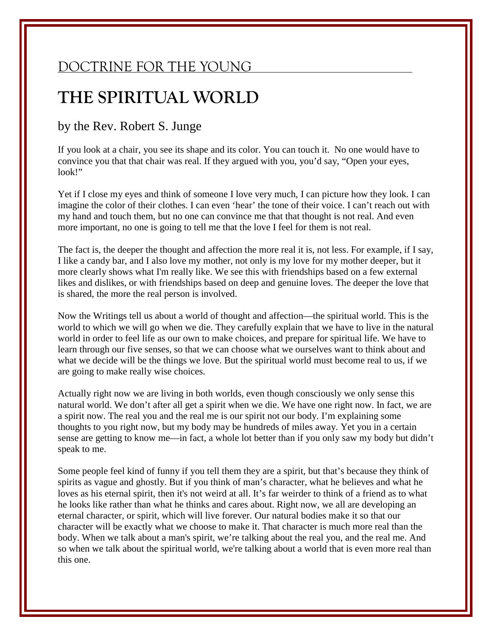## DOCTRINE FOR THE YOUNG

## THE SPIRITUAL WORLD

## by the Rev. Robert S. Junge

If you look at a chair, you see its shape and its color. You can touch it. No one would have to convince you that that chair was real. If they argued with you, you'd say, "Open your eyes, look!"

Yet if I close my eyes and think of someone I love very much, I can picture how they look. I can imagine the color of their clothes. I can even 'hear' the tone of their voice. I can't reach out with my hand and touch them, but no one can convince me that that thought is not real. And even more important, no one is going to tell me that the love I feel for them is not real.

The fact is, the deeper the thought and affection the more real it is, not less. For example, if I say, I like a candy bar, and I also love my mother, not only is my love for my mother deeper, but it more clearly shows what I'm really like. We see this with friendships based on a few external likes and dislikes, or with friendships based on deep and genuine loves. The deeper the love that is shared, the more the real person is involved.

Now the Writings tell us about a world of thought and affection—the spiritual world. This is the world to which we will go when we die. They carefully explain that we have to live in the natural world in order to feel life as our own to make choices, and prepare for spiritual life. We have to learn through our five senses, so that we can choose what we ourselves want to think about and what we decide will be the things we love. But the spiritual world must become real to us, if we are going to make really wise choices.

Actually right now we are living in both worlds, even though consciously we only sense this natural world. We don't after all get a spirit when we die. We have one right now. In fact, we are a spirit now. The real you and the real me is our spirit not our body. I'm explaining some thoughts to you right now, but my body may be hundreds of miles away. Yet you in a certain sense are getting to know me—in fact, a whole lot better than if you only saw my body but didn't speak to me.

Some people feel kind of funny if you tell them they are a spirit, but that's because they think of spirits as vague and ghostly. But if you think of man's character, what he believes and what he loves as his eternal spirit, then it's not weird at all. It's far weirder to think of a friend as to what he looks like rather than what he thinks and cares about. Right now, we all are developing an eternal character, or spirit, which will live forever. Our natural bodies make it so that our character will be exactly what we choose to make it. That character is much more real than the body. When we talk about a man's spirit, we're talking about the real you, and the real me. And so when we talk about the spiritual world, we're talking about a world that is even more real than this one.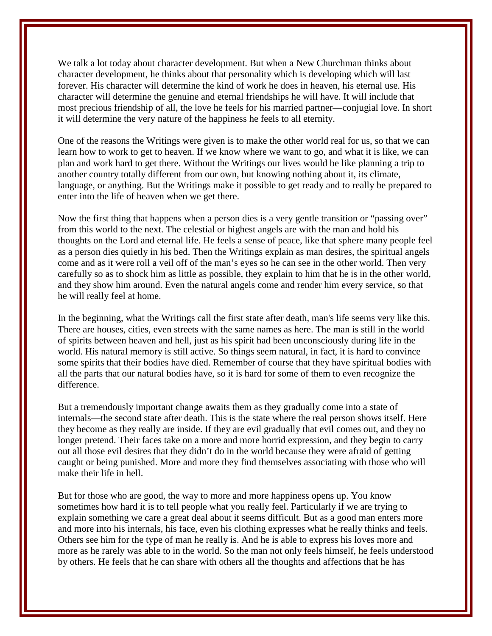We talk a lot today about character development. But when a New Churchman thinks about character development, he thinks about that personality which is developing which will last forever. His character will determine the kind of work he does in heaven, his eternal use. His character will determine the genuine and eternal friendships he will have. It will include that most precious friendship of all, the love he feels for his married partner—conjugial love. In short it will determine the very nature of the happiness he feels to all eternity.

One of the reasons the Writings were given is to make the other world real for us, so that we can learn how to work to get to heaven. If we know where we want to go, and what it is like, we can plan and work hard to get there. Without the Writings our lives would be like planning a trip to another country totally different from our own, but knowing nothing about it, its climate, language, or anything. But the Writings make it possible to get ready and to really be prepared to enter into the life of heaven when we get there.

Now the first thing that happens when a person dies is a very gentle transition or "passing over" from this world to the next. The celestial or highest angels are with the man and hold his thoughts on the Lord and eternal life. He feels a sense of peace, like that sphere many people feel as a person dies quietly in his bed. Then the Writings explain as man desires, the spiritual angels come and as it were roll a veil off of the man's eyes so he can see in the other world. Then very carefully so as to shock him as little as possible, they explain to him that he is in the other world, and they show him around. Even the natural angels come and render him every service, so that he will really feel at home.

In the beginning, what the Writings call the first state after death, man's life seems very like this. There are houses, cities, even streets with the same names as here. The man is still in the world of spirits between heaven and hell, just as his spirit had been unconsciously during life in the world. His natural memory is still active. So things seem natural, in fact, it is hard to convince some spirits that their bodies have died. Remember of course that they have spiritual bodies with all the parts that our natural bodies have, so it is hard for some of them to even recognize the difference.

But a tremendously important change awaits them as they gradually come into a state of internals—the second state after death. This is the state where the real person shows itself. Here they become as they really are inside. If they are evil gradually that evil comes out, and they no longer pretend. Their faces take on a more and more horrid expression, and they begin to carry out all those evil desires that they didn't do in the world because they were afraid of getting caught or being punished. More and more they find themselves associating with those who will make their life in hell.

But for those who are good, the way to more and more happiness opens up. You know sometimes how hard it is to tell people what you really feel. Particularly if we are trying to explain something we care a great deal about it seems difficult. But as a good man enters more and more into his internals, his face, even his clothing expresses what he really thinks and feels. Others see him for the type of man he really is. And he is able to express his loves more and more as he rarely was able to in the world. So the man not only feels himself, he feels understood by others. He feels that he can share with others all the thoughts and affections that he has